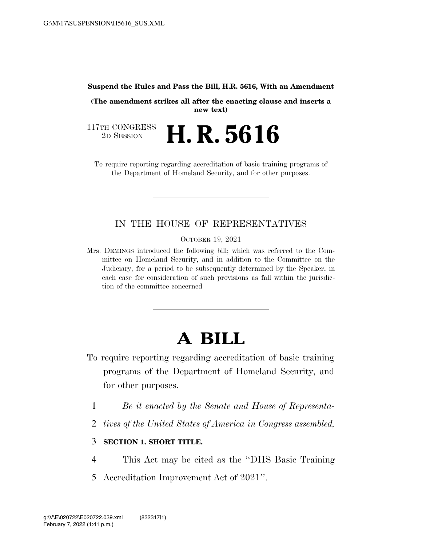#### **Suspend the Rules and Pass the Bill, H.R. 5616, With an Amendment**

**(The amendment strikes all after the enacting clause and inserts a new text)** 

117TH CONGRESS<br>2D SESSION 2D SESSION **H. R. 5616** 

To require reporting regarding accreditation of basic training programs of the Department of Homeland Security, and for other purposes.

## IN THE HOUSE OF REPRESENTATIVES

OCTOBER 19, 2021

Mrs. DEMINGS introduced the following bill; which was referred to the Committee on Homeland Security, and in addition to the Committee on the Judiciary, for a period to be subsequently determined by the Speaker, in each case for consideration of such provisions as fall within the jurisdiction of the committee concerned

# **A BILL**

To require reporting regarding accreditation of basic training programs of the Department of Homeland Security, and for other purposes.

- 1 *Be it enacted by the Senate and House of Representa-*
- 2 *tives of the United States of America in Congress assembled,*

### 3 **SECTION 1. SHORT TITLE.**

- 4 This Act may be cited as the ''DHS Basic Training
- 5 Accreditation Improvement Act of 2021''.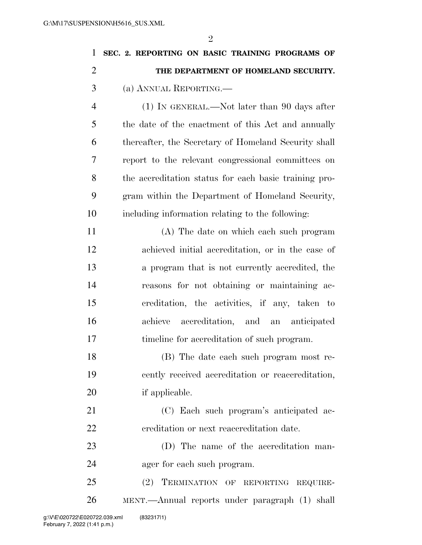| 1              | SEC. 2. REPORTING ON BASIC TRAINING PROGRAMS OF       |
|----------------|-------------------------------------------------------|
| 2              | THE DEPARTMENT OF HOMELAND SECURITY.                  |
| 3              | (a) ANNUAL REPORTING.—                                |
| $\overline{4}$ | $(1)$ In GENERAL.—Not later than 90 days after        |
| 5              | the date of the enactment of this Act and annually    |
| 6              | thereafter, the Secretary of Homeland Security shall  |
| 7              | report to the relevant congressional committees on    |
| 8              | the accreditation status for each basic training pro- |
| 9              | gram within the Department of Homeland Security,      |
| 10             | including information relating to the following:      |
| 11             | (A) The date on which each such program               |
| 12             | achieved initial accreditation, or in the case of     |
| 13             | a program that is not currently accredited, the       |
| 14             | reasons for not obtaining or maintaining ac-          |
| 15             | creditation, the activities, if any, taken to         |
| 16             | achieve accreditation, and an anticipated             |
| 17             | timeline for accreditation of such program.           |
| 18             | (B) The date each such program most re-               |
| 19             | cently received accreditation or reaccreditation,     |
| 20             | if applicable.                                        |
| 21             | (C) Each such program's anticipated ac-               |
| 22             | ereditation or next reaccreditation date.             |
| 23             | (D) The name of the accreditation man-                |
| 24             | ager for each such program.                           |
| 25             | (2) TERMINATION OF REPORTING REQUIRE-                 |
| 26             | MENT.—Annual reports under paragraph (1) shall        |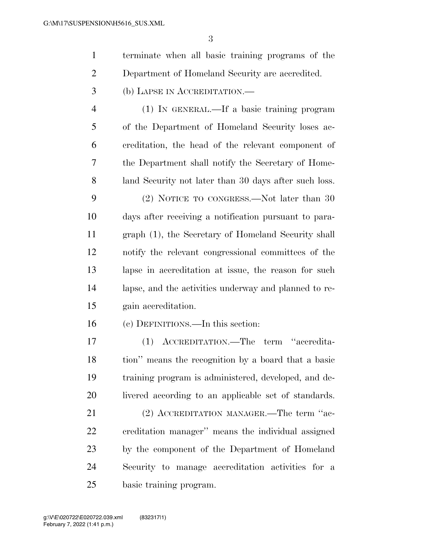| $\mathbf{1}$   | terminate when all basic training programs of the     |
|----------------|-------------------------------------------------------|
| $\overline{2}$ | Department of Homeland Security are accredited.       |
| 3              | (b) LAPSE IN ACCREDITATION.—                          |
| $\overline{4}$ | (1) IN GENERAL.—If a basic training program           |
| 5              | of the Department of Homeland Security loses ac-      |
| 6              | creditation, the head of the relevant component of    |
| 7              | the Department shall notify the Secretary of Home-    |
| 8              | land Security not later than 30 days after such loss. |
| 9              | (2) NOTICE TO CONGRESS.—Not later than 30             |
| 10             | days after receiving a notification pursuant to para- |
| 11             | graph (1), the Secretary of Homeland Security shall   |
| 12             | notify the relevant congressional committees of the   |
| 13             | lapse in accreditation at issue, the reason for such  |
| 14             | lapse, and the activities underway and planned to re- |
| 15             | gain accreditation.                                   |
| 16             | (c) DEFINITIONS.—In this section:                     |
| 17             | ACCREDITATION.—The term "accredita-<br>(1)            |
| 18             | tion" means the recognition by a board that a basic   |
| 19             | training program is administered, developed, and de-  |
| 20             | livered according to an applicable set of standards.  |
| 21             | (2) ACCREDITATION MANAGER.—The term "ac-              |
| 22             | creditation manager" means the individual assigned    |
| 23             | by the component of the Department of Homeland        |
| 24             | Security to manage accreditation activities for a     |
| 25             | basic training program.                               |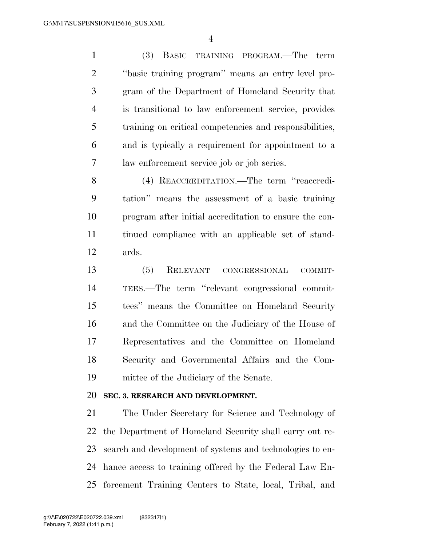(3) BASIC TRAINING PROGRAM.—The term ''basic training program'' means an entry level pro- gram of the Department of Homeland Security that is transitional to law enforcement service, provides training on critical competencies and responsibilities, and is typically a requirement for appointment to a law enforcement service job or job series.

 (4) REACCREDITATION.—The term ''reaccredi- tation'' means the assessment of a basic training program after initial accreditation to ensure the con- tinued compliance with an applicable set of stand-ards.

 (5) RELEVANT CONGRESSIONAL COMMIT- TEES.—The term ''relevant congressional commit- tees'' means the Committee on Homeland Security and the Committee on the Judiciary of the House of Representatives and the Committee on Homeland Security and Governmental Affairs and the Com-mittee of the Judiciary of the Senate.

## **SEC. 3. RESEARCH AND DEVELOPMENT.**

 The Under Secretary for Science and Technology of the Department of Homeland Security shall carry out re- search and development of systems and technologies to en- hance access to training offered by the Federal Law En-forcement Training Centers to State, local, Tribal, and